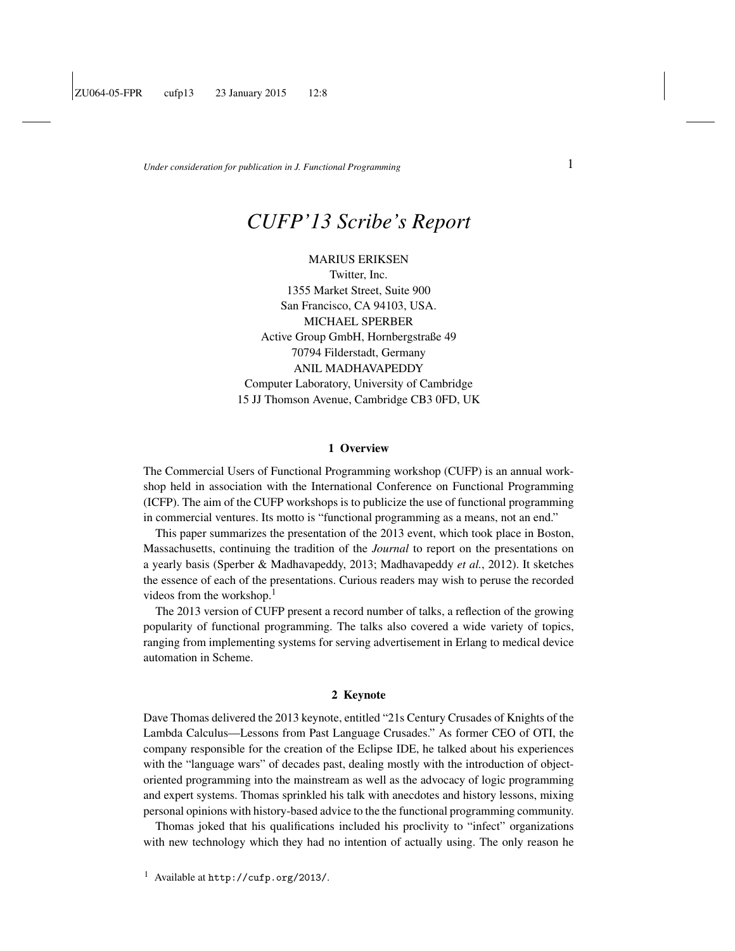*Under consideration for publication in J. Functional Programming* 2001

# *CUFP'13 Scribe's Report*

MARIUS ERIKSEN Twitter, Inc. 1355 Market Street, Suite 900 San Francisco, CA 94103, USA. MICHAEL SPERBER Active Group GmbH, Hornbergstraße 49 70794 Filderstadt, Germany ANIL MADHAVAPEDDY Computer Laboratory, University of Cambridge 15 JJ Thomson Avenue, Cambridge CB3 0FD, UK

#### 1 Overview

The Commercial Users of Functional Programming workshop (CUFP) is an annual workshop held in association with the International Conference on Functional Programming (ICFP). The aim of the CUFP workshops is to publicize the use of functional programming in commercial ventures. Its motto is "functional programming as a means, not an end."

This paper summarizes the presentation of the 2013 event, which took place in Boston, Massachusetts, continuing the tradition of the *Journal* to report on the presentations on a yearly basis (Sperber & Madhavapeddy, 2013; Madhavapeddy *et al.*, 2012). It sketches the essence of each of the presentations. Curious readers may wish to peruse the recorded videos from the workshop. $<sup>1</sup>$ </sup>

The 2013 version of CUFP present a record number of talks, a reflection of the growing popularity of functional programming. The talks also covered a wide variety of topics, ranging from implementing systems for serving advertisement in Erlang to medical device automation in Scheme.

## 2 Keynote

Dave Thomas delivered the 2013 keynote, entitled "21s Century Crusades of Knights of the Lambda Calculus—Lessons from Past Language Crusades." As former CEO of OTI, the company responsible for the creation of the Eclipse IDE, he talked about his experiences with the "language wars" of decades past, dealing mostly with the introduction of objectoriented programming into the mainstream as well as the advocacy of logic programming and expert systems. Thomas sprinkled his talk with anecdotes and history lessons, mixing personal opinions with history-based advice to the the functional programming community.

Thomas joked that his qualifications included his proclivity to "infect" organizations with new technology which they had no intention of actually using. The only reason he

<sup>1</sup> Available at http://cufp.org/2013/.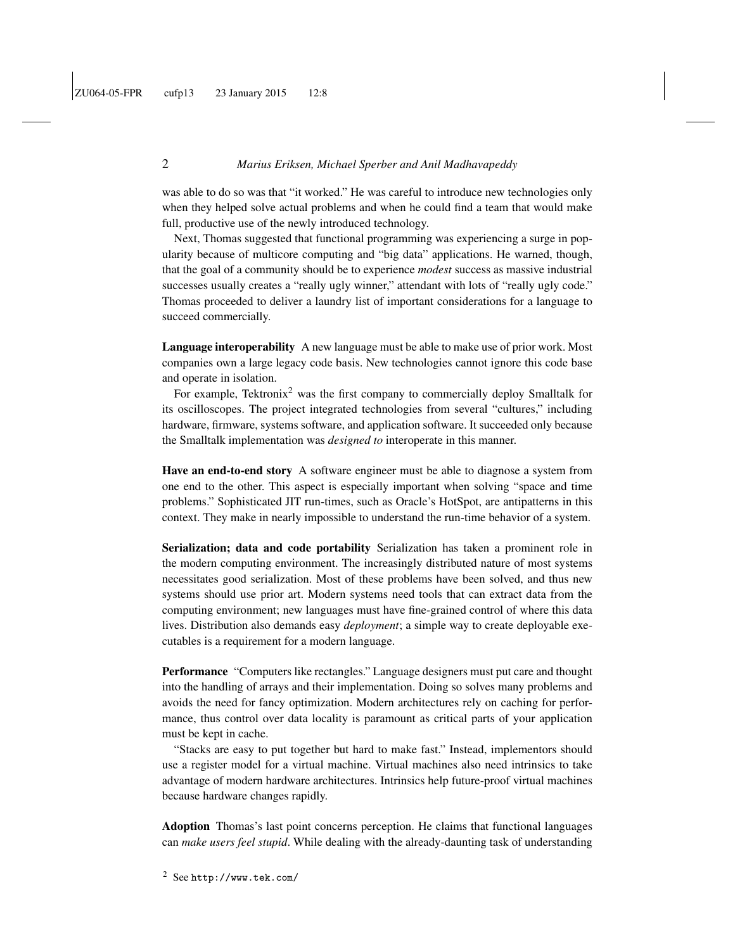was able to do so was that "it worked." He was careful to introduce new technologies only when they helped solve actual problems and when he could find a team that would make full, productive use of the newly introduced technology.

Next, Thomas suggested that functional programming was experiencing a surge in popularity because of multicore computing and "big data" applications. He warned, though, that the goal of a community should be to experience *modest* success as massive industrial successes usually creates a "really ugly winner," attendant with lots of "really ugly code." Thomas proceeded to deliver a laundry list of important considerations for a language to succeed commercially.

Language interoperability A new language must be able to make use of prior work. Most companies own a large legacy code basis. New technologies cannot ignore this code base and operate in isolation.

For example, Tektronix<sup>2</sup> was the first company to commercially deploy Smalltalk for its oscilloscopes. The project integrated technologies from several "cultures," including hardware, firmware, systems software, and application software. It succeeded only because the Smalltalk implementation was *designed to* interoperate in this manner.

Have an end-to-end story A software engineer must be able to diagnose a system from one end to the other. This aspect is especially important when solving "space and time problems." Sophisticated JIT run-times, such as Oracle's HotSpot, are antipatterns in this context. They make in nearly impossible to understand the run-time behavior of a system.

Serialization; data and code portability Serialization has taken a prominent role in the modern computing environment. The increasingly distributed nature of most systems necessitates good serialization. Most of these problems have been solved, and thus new systems should use prior art. Modern systems need tools that can extract data from the computing environment; new languages must have fine-grained control of where this data lives. Distribution also demands easy *deployment*; a simple way to create deployable executables is a requirement for a modern language.

Performance "Computers like rectangles." Language designers must put care and thought into the handling of arrays and their implementation. Doing so solves many problems and avoids the need for fancy optimization. Modern architectures rely on caching for performance, thus control over data locality is paramount as critical parts of your application must be kept in cache.

"Stacks are easy to put together but hard to make fast." Instead, implementors should use a register model for a virtual machine. Virtual machines also need intrinsics to take advantage of modern hardware architectures. Intrinsics help future-proof virtual machines because hardware changes rapidly.

Adoption Thomas's last point concerns perception. He claims that functional languages can *make users feel stupid*. While dealing with the already-daunting task of understanding

<sup>2</sup> See http://www.tek.com/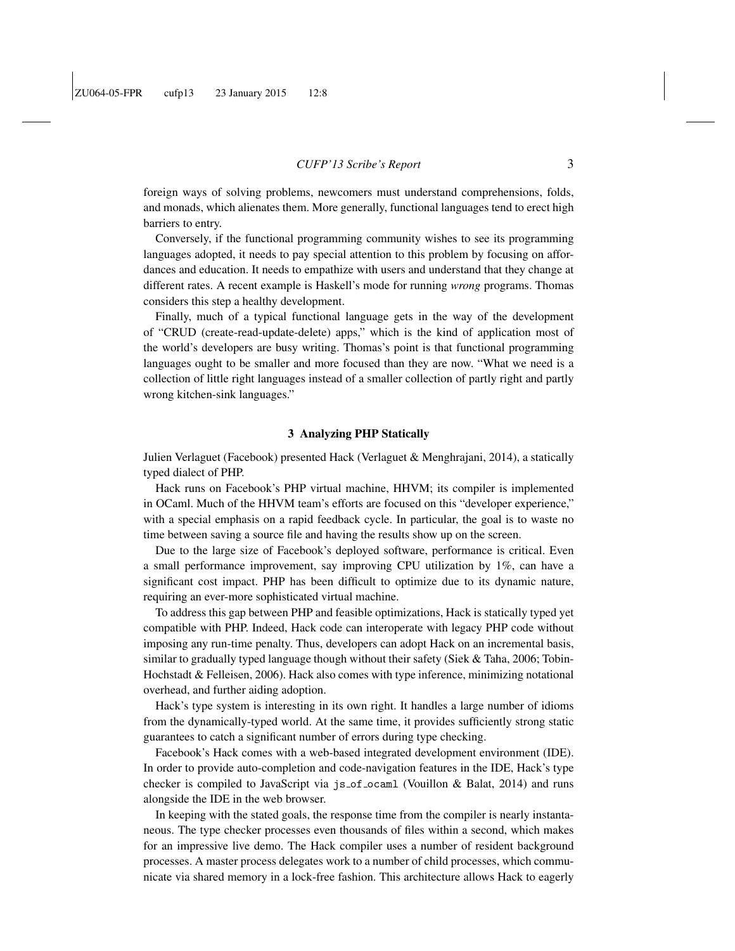foreign ways of solving problems, newcomers must understand comprehensions, folds, and monads, which alienates them. More generally, functional languages tend to erect high barriers to entry.

Conversely, if the functional programming community wishes to see its programming languages adopted, it needs to pay special attention to this problem by focusing on affordances and education. It needs to empathize with users and understand that they change at different rates. A recent example is Haskell's mode for running *wrong* programs. Thomas considers this step a healthy development.

Finally, much of a typical functional language gets in the way of the development of "CRUD (create-read-update-delete) apps," which is the kind of application most of the world's developers are busy writing. Thomas's point is that functional programming languages ought to be smaller and more focused than they are now. "What we need is a collection of little right languages instead of a smaller collection of partly right and partly wrong kitchen-sink languages."

## 3 Analyzing PHP Statically

Julien Verlaguet (Facebook) presented Hack (Verlaguet & Menghrajani, 2014), a statically typed dialect of PHP.

Hack runs on Facebook's PHP virtual machine, HHVM; its compiler is implemented in OCaml. Much of the HHVM team's efforts are focused on this "developer experience," with a special emphasis on a rapid feedback cycle. In particular, the goal is to waste no time between saving a source file and having the results show up on the screen.

Due to the large size of Facebook's deployed software, performance is critical. Even a small performance improvement, say improving CPU utilization by 1%, can have a significant cost impact. PHP has been difficult to optimize due to its dynamic nature, requiring an ever-more sophisticated virtual machine.

To address this gap between PHP and feasible optimizations, Hack is statically typed yet compatible with PHP. Indeed, Hack code can interoperate with legacy PHP code without imposing any run-time penalty. Thus, developers can adopt Hack on an incremental basis, similar to gradually typed language though without their safety (Siek  $&$  Taha, 2006; Tobin-Hochstadt & Felleisen, 2006). Hack also comes with type inference, minimizing notational overhead, and further aiding adoption.

Hack's type system is interesting in its own right. It handles a large number of idioms from the dynamically-typed world. At the same time, it provides sufficiently strong static guarantees to catch a significant number of errors during type checking.

Facebook's Hack comes with a web-based integrated development environment (IDE). In order to provide auto-completion and code-navigation features in the IDE, Hack's type checker is compiled to JavaScript via  $j = 0$  ocaml (Vouillon & Balat, 2014) and runs alongside the IDE in the web browser.

In keeping with the stated goals, the response time from the compiler is nearly instantaneous. The type checker processes even thousands of files within a second, which makes for an impressive live demo. The Hack compiler uses a number of resident background processes. A master process delegates work to a number of child processes, which communicate via shared memory in a lock-free fashion. This architecture allows Hack to eagerly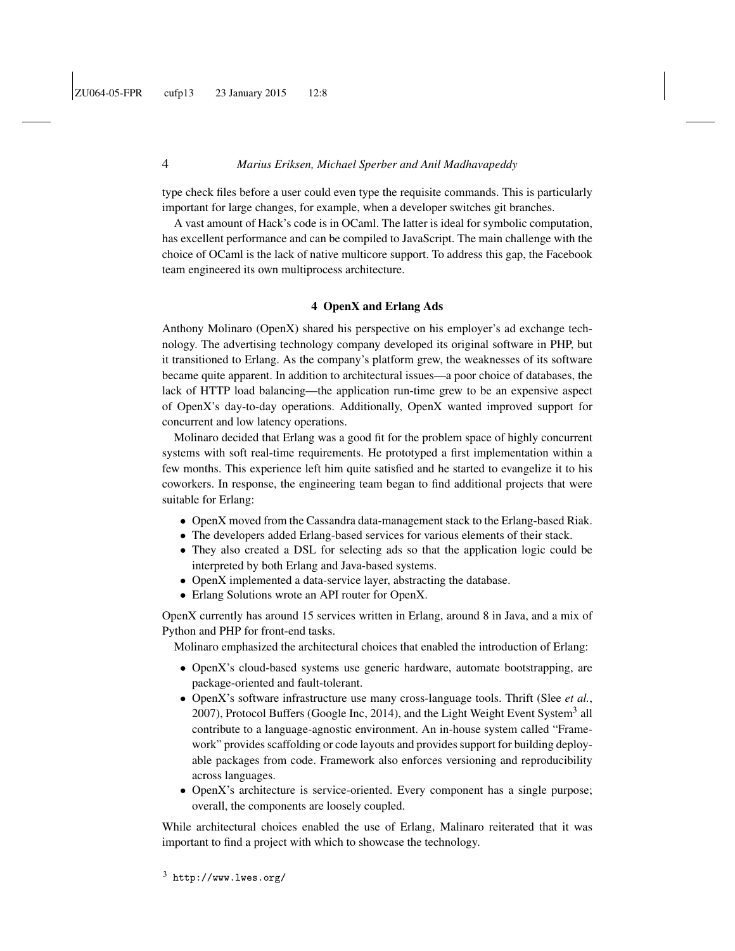type check files before a user could even type the requisite commands. This is particularly important for large changes, for example, when a developer switches git branches.

A vast amount of Hack's code is in OCaml. The latter is ideal for symbolic computation, has excellent performance and can be compiled to JavaScript. The main challenge with the choice of OCaml is the lack of native multicore support. To address this gap, the Facebook team engineered its own multiprocess architecture.

## 4 OpenX and Erlang Ads

Anthony Molinaro (OpenX) shared his perspective on his employer's ad exchange technology. The advertising technology company developed its original software in PHP, but it transitioned to Erlang. As the company's platform grew, the weaknesses of its software became quite apparent. In addition to architectural issues—a poor choice of databases, the lack of HTTP load balancing—the application run-time grew to be an expensive aspect of OpenX's day-to-day operations. Additionally, OpenX wanted improved support for concurrent and low latency operations.

Molinaro decided that Erlang was a good fit for the problem space of highly concurrent systems with soft real-time requirements. He prototyped a first implementation within a few months. This experience left him quite satisfied and he started to evangelize it to his coworkers. In response, the engineering team began to find additional projects that were suitable for Erlang:

- OpenX moved from the Cassandra data-management stack to the Erlang-based Riak.
- The developers added Erlang-based services for various elements of their stack.
- They also created a DSL for selecting ads so that the application logic could be interpreted by both Erlang and Java-based systems.
- OpenX implemented a data-service layer, abstracting the database.
- Erlang Solutions wrote an API router for OpenX.

OpenX currently has around 15 services written in Erlang, around 8 in Java, and a mix of Python and PHP for front-end tasks.

Molinaro emphasized the architectural choices that enabled the introduction of Erlang:

- OpenX's cloud-based systems use generic hardware, automate bootstrapping, are package-oriented and fault-tolerant.
- OpenX's software infrastructure use many cross-language tools. Thrift (Slee *et al.*, 2007), Protocol Buffers (Google Inc, 2014), and the Light Weight Event System<sup>3</sup> all contribute to a language-agnostic environment. An in-house system called "Framework" provides scaffolding or code layouts and provides support for building deployable packages from code. Framework also enforces versioning and reproducibility across languages.
- OpenX's architecture is service-oriented. Every component has a single purpose; overall, the components are loosely coupled.

While architectural choices enabled the use of Erlang, Malinaro reiterated that it was important to find a project with which to showcase the technology.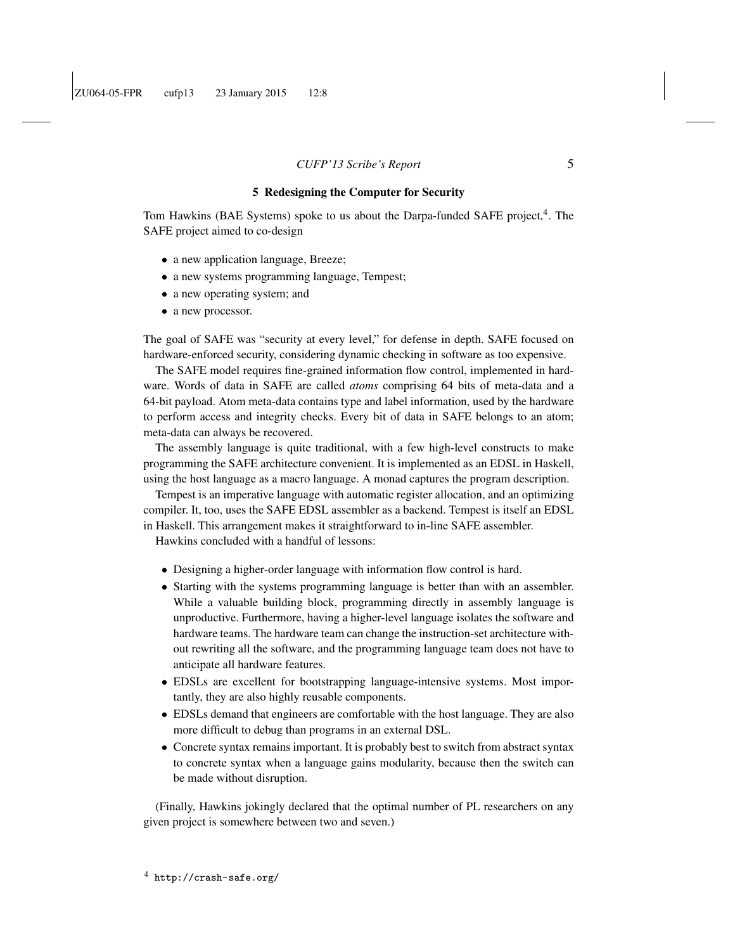## 5 Redesigning the Computer for Security

Tom Hawkins (BAE Systems) spoke to us about the Darpa-funded SAFE project,<sup>4</sup>. The SAFE project aimed to co-design

- a new application language, Breeze;
- a new systems programming language, Tempest;
- a new operating system; and
- a new processor.

The goal of SAFE was "security at every level," for defense in depth. SAFE focused on hardware-enforced security, considering dynamic checking in software as too expensive.

The SAFE model requires fine-grained information flow control, implemented in hardware. Words of data in SAFE are called *atoms* comprising 64 bits of meta-data and a 64-bit payload. Atom meta-data contains type and label information, used by the hardware to perform access and integrity checks. Every bit of data in SAFE belongs to an atom; meta-data can always be recovered.

The assembly language is quite traditional, with a few high-level constructs to make programming the SAFE architecture convenient. It is implemented as an EDSL in Haskell, using the host language as a macro language. A monad captures the program description.

Tempest is an imperative language with automatic register allocation, and an optimizing compiler. It, too, uses the SAFE EDSL assembler as a backend. Tempest is itself an EDSL in Haskell. This arrangement makes it straightforward to in-line SAFE assembler.

Hawkins concluded with a handful of lessons:

- Designing a higher-order language with information flow control is hard.
- Starting with the systems programming language is better than with an assembler. While a valuable building block, programming directly in assembly language is unproductive. Furthermore, having a higher-level language isolates the software and hardware teams. The hardware team can change the instruction-set architecture without rewriting all the software, and the programming language team does not have to anticipate all hardware features.
- EDSLs are excellent for bootstrapping language-intensive systems. Most importantly, they are also highly reusable components.
- EDSLs demand that engineers are comfortable with the host language. They are also more difficult to debug than programs in an external DSL.
- Concrete syntax remains important. It is probably best to switch from abstract syntax to concrete syntax when a language gains modularity, because then the switch can be made without disruption.

(Finally, Hawkins jokingly declared that the optimal number of PL researchers on any given project is somewhere between two and seven.)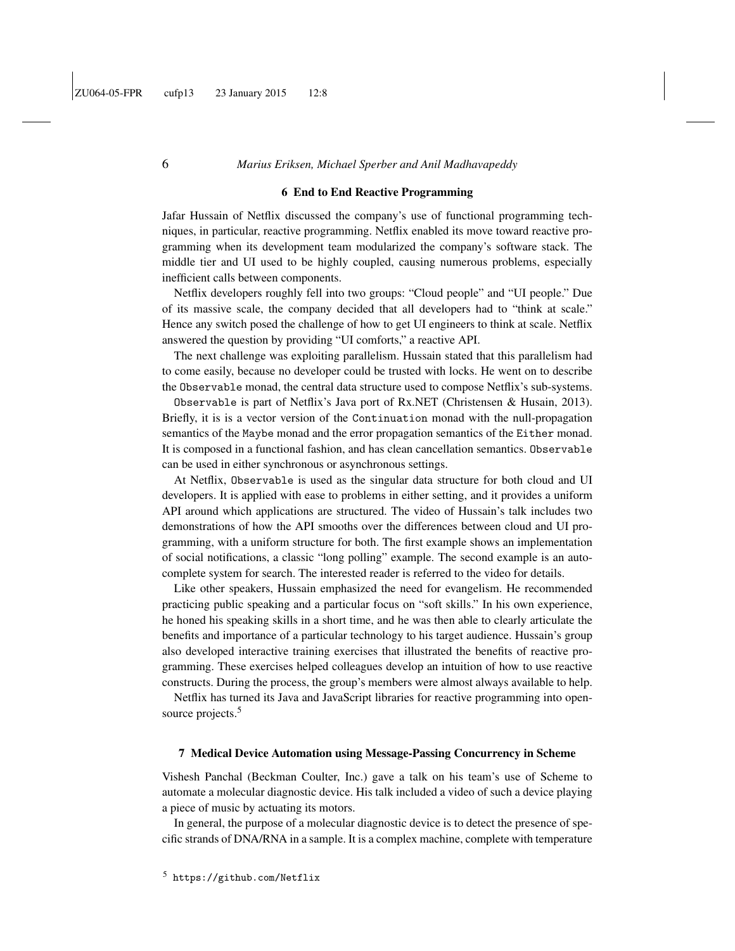#### 6 End to End Reactive Programming

Jafar Hussain of Netflix discussed the company's use of functional programming techniques, in particular, reactive programming. Netflix enabled its move toward reactive programming when its development team modularized the company's software stack. The middle tier and UI used to be highly coupled, causing numerous problems, especially inefficient calls between components.

Netflix developers roughly fell into two groups: "Cloud people" and "UI people." Due of its massive scale, the company decided that all developers had to "think at scale." Hence any switch posed the challenge of how to get UI engineers to think at scale. Netflix answered the question by providing "UI comforts," a reactive API.

The next challenge was exploiting parallelism. Hussain stated that this parallelism had to come easily, because no developer could be trusted with locks. He went on to describe the Observable monad, the central data structure used to compose Netflix's sub-systems.

Observable is part of Netflix's Java port of Rx.NET (Christensen & Husain, 2013). Briefly, it is is a vector version of the Continuation monad with the null-propagation semantics of the Maybe monad and the error propagation semantics of the Either monad. It is composed in a functional fashion, and has clean cancellation semantics. Observable can be used in either synchronous or asynchronous settings.

At Netflix, Observable is used as the singular data structure for both cloud and UI developers. It is applied with ease to problems in either setting, and it provides a uniform API around which applications are structured. The video of Hussain's talk includes two demonstrations of how the API smooths over the differences between cloud and UI programming, with a uniform structure for both. The first example shows an implementation of social notifications, a classic "long polling" example. The second example is an autocomplete system for search. The interested reader is referred to the video for details.

Like other speakers, Hussain emphasized the need for evangelism. He recommended practicing public speaking and a particular focus on "soft skills." In his own experience, he honed his speaking skills in a short time, and he was then able to clearly articulate the benefits and importance of a particular technology to his target audience. Hussain's group also developed interactive training exercises that illustrated the benefits of reactive programming. These exercises helped colleagues develop an intuition of how to use reactive constructs. During the process, the group's members were almost always available to help.

Netflix has turned its Java and JavaScript libraries for reactive programming into opensource projects.<sup>5</sup>

## 7 Medical Device Automation using Message-Passing Concurrency in Scheme

Vishesh Panchal (Beckman Coulter, Inc.) gave a talk on his team's use of Scheme to automate a molecular diagnostic device. His talk included a video of such a device playing a piece of music by actuating its motors.

In general, the purpose of a molecular diagnostic device is to detect the presence of specific strands of DNA/RNA in a sample. It is a complex machine, complete with temperature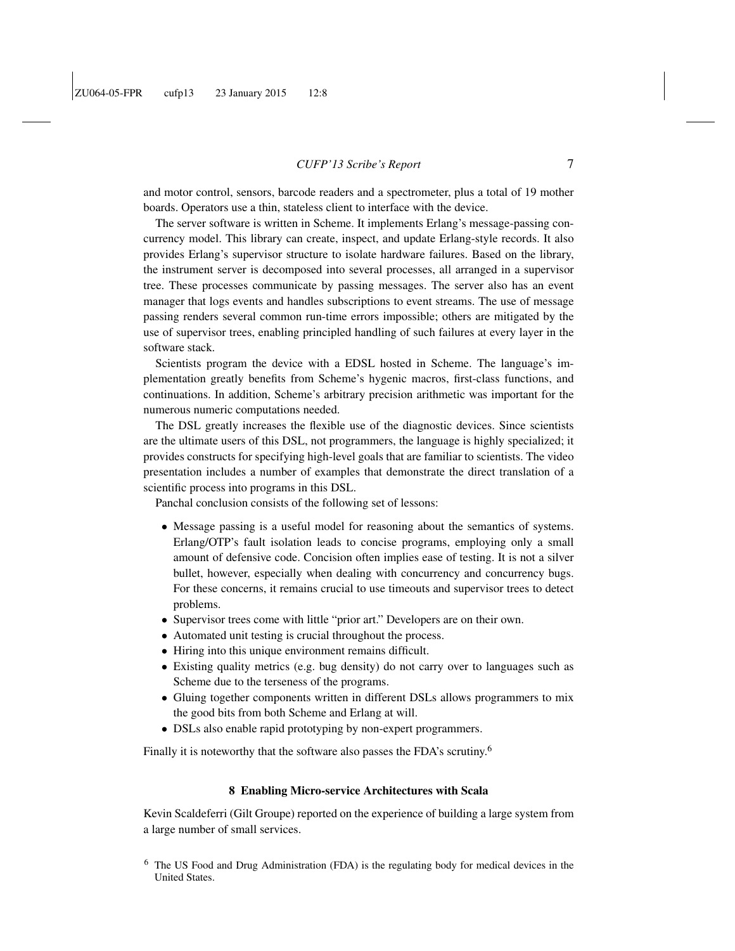and motor control, sensors, barcode readers and a spectrometer, plus a total of 19 mother boards. Operators use a thin, stateless client to interface with the device.

The server software is written in Scheme. It implements Erlang's message-passing concurrency model. This library can create, inspect, and update Erlang-style records. It also provides Erlang's supervisor structure to isolate hardware failures. Based on the library, the instrument server is decomposed into several processes, all arranged in a supervisor tree. These processes communicate by passing messages. The server also has an event manager that logs events and handles subscriptions to event streams. The use of message passing renders several common run-time errors impossible; others are mitigated by the use of supervisor trees, enabling principled handling of such failures at every layer in the software stack.

Scientists program the device with a EDSL hosted in Scheme. The language's implementation greatly benefits from Scheme's hygenic macros, first-class functions, and continuations. In addition, Scheme's arbitrary precision arithmetic was important for the numerous numeric computations needed.

The DSL greatly increases the flexible use of the diagnostic devices. Since scientists are the ultimate users of this DSL, not programmers, the language is highly specialized; it provides constructs for specifying high-level goals that are familiar to scientists. The video presentation includes a number of examples that demonstrate the direct translation of a scientific process into programs in this DSL.

Panchal conclusion consists of the following set of lessons:

- Message passing is a useful model for reasoning about the semantics of systems. Erlang/OTP's fault isolation leads to concise programs, employing only a small amount of defensive code. Concision often implies ease of testing. It is not a silver bullet, however, especially when dealing with concurrency and concurrency bugs. For these concerns, it remains crucial to use timeouts and supervisor trees to detect problems.
- Supervisor trees come with little "prior art." Developers are on their own.
- Automated unit testing is crucial throughout the process.
- Hiring into this unique environment remains difficult.
- Existing quality metrics (e.g. bug density) do not carry over to languages such as Scheme due to the terseness of the programs.
- Gluing together components written in different DSLs allows programmers to mix the good bits from both Scheme and Erlang at will.
- DSLs also enable rapid prototyping by non-expert programmers.

Finally it is noteworthy that the software also passes the FDA's scrutiny.<sup>6</sup>

#### 8 Enabling Micro-service Architectures with Scala

Kevin Scaldeferri (Gilt Groupe) reported on the experience of building a large system from a large number of small services.

<sup>6</sup> The US Food and Drug Administration (FDA) is the regulating body for medical devices in the United States.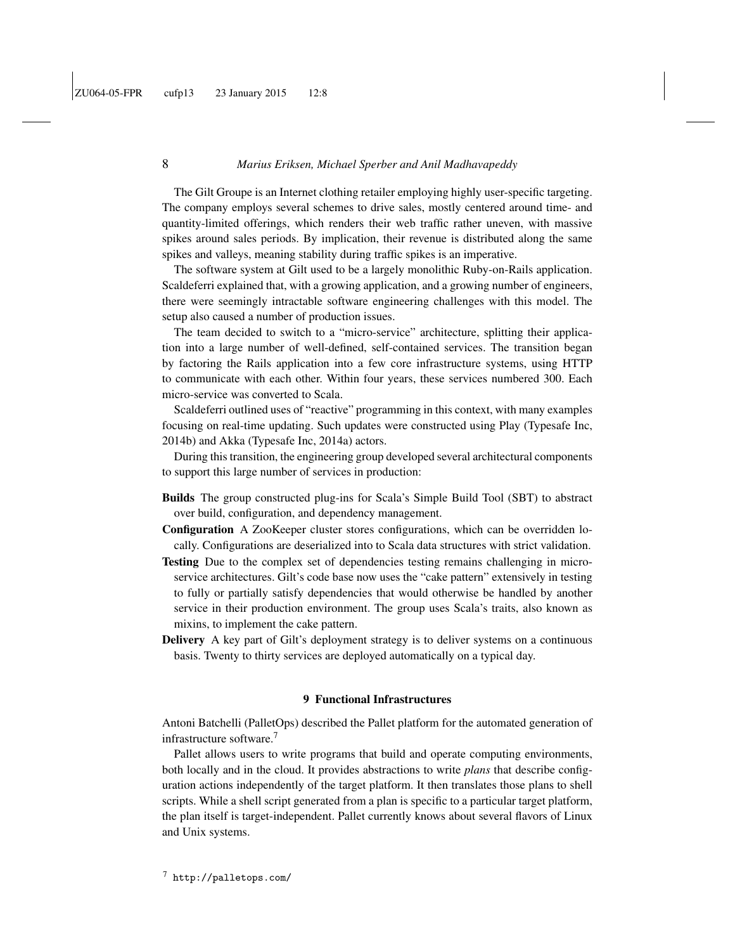The Gilt Groupe is an Internet clothing retailer employing highly user-specific targeting. The company employs several schemes to drive sales, mostly centered around time- and quantity-limited offerings, which renders their web traffic rather uneven, with massive spikes around sales periods. By implication, their revenue is distributed along the same spikes and valleys, meaning stability during traffic spikes is an imperative.

The software system at Gilt used to be a largely monolithic Ruby-on-Rails application. Scaldeferri explained that, with a growing application, and a growing number of engineers, there were seemingly intractable software engineering challenges with this model. The setup also caused a number of production issues.

The team decided to switch to a "micro-service" architecture, splitting their application into a large number of well-defined, self-contained services. The transition began by factoring the Rails application into a few core infrastructure systems, using HTTP to communicate with each other. Within four years, these services numbered 300. Each micro-service was converted to Scala.

Scaldeferri outlined uses of "reactive" programming in this context, with many examples focusing on real-time updating. Such updates were constructed using Play (Typesafe Inc, 2014b) and Akka (Typesafe Inc, 2014a) actors.

During this transition, the engineering group developed several architectural components to support this large number of services in production:

- Builds The group constructed plug-ins for Scala's Simple Build Tool (SBT) to abstract over build, configuration, and dependency management.
- Configuration A ZooKeeper cluster stores configurations, which can be overridden locally. Configurations are deserialized into to Scala data structures with strict validation.
- Testing Due to the complex set of dependencies testing remains challenging in microservice architectures. Gilt's code base now uses the "cake pattern" extensively in testing to fully or partially satisfy dependencies that would otherwise be handled by another service in their production environment. The group uses Scala's traits, also known as mixins, to implement the cake pattern.
- Delivery A key part of Gilt's deployment strategy is to deliver systems on a continuous basis. Twenty to thirty services are deployed automatically on a typical day.

#### 9 Functional Infrastructures

Antoni Batchelli (PalletOps) described the Pallet platform for the automated generation of infrastructure software.<sup>7</sup>

Pallet allows users to write programs that build and operate computing environments, both locally and in the cloud. It provides abstractions to write *plans* that describe configuration actions independently of the target platform. It then translates those plans to shell scripts. While a shell script generated from a plan is specific to a particular target platform, the plan itself is target-independent. Pallet currently knows about several flavors of Linux and Unix systems.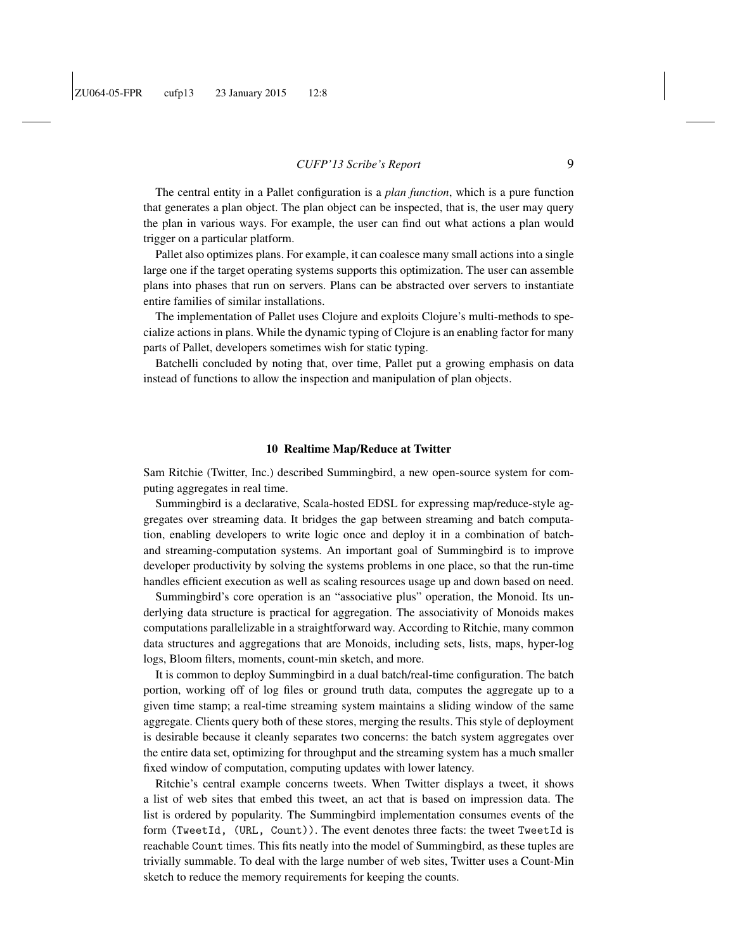The central entity in a Pallet configuration is a *plan function*, which is a pure function that generates a plan object. The plan object can be inspected, that is, the user may query the plan in various ways. For example, the user can find out what actions a plan would trigger on a particular platform.

Pallet also optimizes plans. For example, it can coalesce many small actions into a single large one if the target operating systems supports this optimization. The user can assemble plans into phases that run on servers. Plans can be abstracted over servers to instantiate entire families of similar installations.

The implementation of Pallet uses Clojure and exploits Clojure's multi-methods to specialize actions in plans. While the dynamic typing of Clojure is an enabling factor for many parts of Pallet, developers sometimes wish for static typing.

Batchelli concluded by noting that, over time, Pallet put a growing emphasis on data instead of functions to allow the inspection and manipulation of plan objects.

## 10 Realtime Map/Reduce at Twitter

Sam Ritchie (Twitter, Inc.) described Summingbird, a new open-source system for computing aggregates in real time.

Summingbird is a declarative, Scala-hosted EDSL for expressing map/reduce-style aggregates over streaming data. It bridges the gap between streaming and batch computation, enabling developers to write logic once and deploy it in a combination of batchand streaming-computation systems. An important goal of Summingbird is to improve developer productivity by solving the systems problems in one place, so that the run-time handles efficient execution as well as scaling resources usage up and down based on need.

Summingbird's core operation is an "associative plus" operation, the Monoid. Its underlying data structure is practical for aggregation. The associativity of Monoids makes computations parallelizable in a straightforward way. According to Ritchie, many common data structures and aggregations that are Monoids, including sets, lists, maps, hyper-log logs, Bloom filters, moments, count-min sketch, and more.

It is common to deploy Summingbird in a dual batch/real-time configuration. The batch portion, working off of log files or ground truth data, computes the aggregate up to a given time stamp; a real-time streaming system maintains a sliding window of the same aggregate. Clients query both of these stores, merging the results. This style of deployment is desirable because it cleanly separates two concerns: the batch system aggregates over the entire data set, optimizing for throughput and the streaming system has a much smaller fixed window of computation, computing updates with lower latency.

Ritchie's central example concerns tweets. When Twitter displays a tweet, it shows a list of web sites that embed this tweet, an act that is based on impression data. The list is ordered by popularity. The Summingbird implementation consumes events of the form (TweetId, (URL, Count)). The event denotes three facts: the tweet TweetId is reachable Count times. This fits neatly into the model of Summingbird, as these tuples are trivially summable. To deal with the large number of web sites, Twitter uses a Count-Min sketch to reduce the memory requirements for keeping the counts.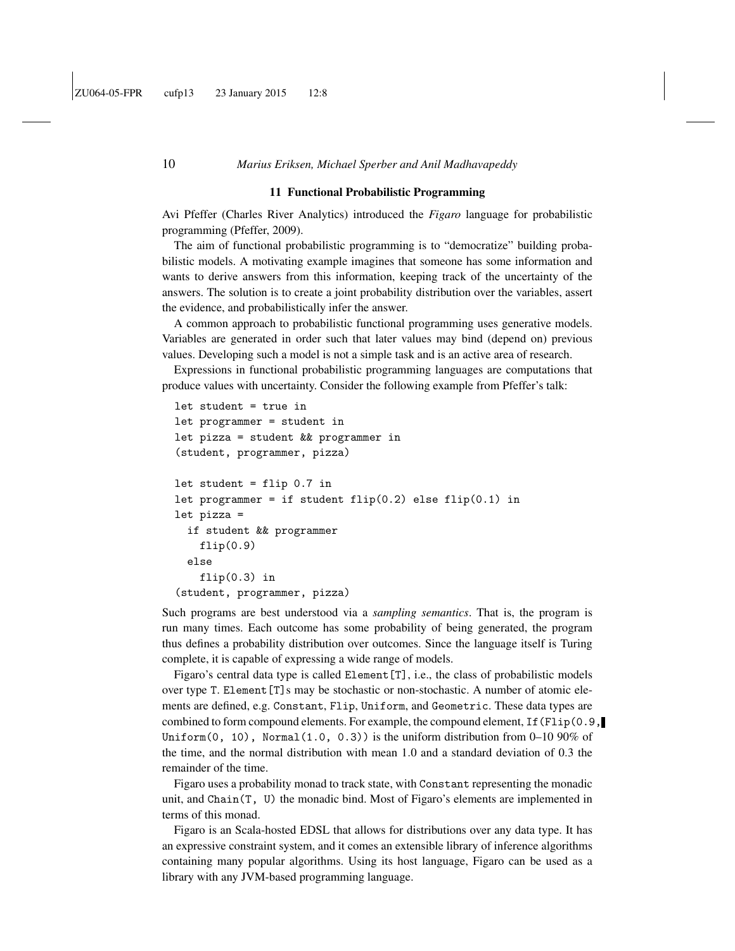#### 11 Functional Probabilistic Programming

Avi Pfeffer (Charles River Analytics) introduced the *Figaro* language for probabilistic programming (Pfeffer, 2009).

The aim of functional probabilistic programming is to "democratize" building probabilistic models. A motivating example imagines that someone has some information and wants to derive answers from this information, keeping track of the uncertainty of the answers. The solution is to create a joint probability distribution over the variables, assert the evidence, and probabilistically infer the answer.

A common approach to probabilistic functional programming uses generative models. Variables are generated in order such that later values may bind (depend on) previous values. Developing such a model is not a simple task and is an active area of research.

Expressions in functional probabilistic programming languages are computations that produce values with uncertainty. Consider the following example from Pfeffer's talk:

```
let student = true in
let programmer = student in
let pizza = student && programmer in
(student, programmer, pizza)
let student = flip 0.7 inlet programmer = if student flip(0.2) else flip(0.1) in
let pizza =
  if student && programmer
    flip(0.9)else
    flip(0.3) in
(student, programmer, pizza)
```
Such programs are best understood via a *sampling semantics*. That is, the program is run many times. Each outcome has some probability of being generated, the program thus defines a probability distribution over outcomes. Since the language itself is Turing complete, it is capable of expressing a wide range of models.

Figaro's central data type is called Element[T], i.e., the class of probabilistic models over type T. Element[T]s may be stochastic or non-stochastic. A number of atomic elements are defined, e.g. Constant, Flip, Uniform, and Geometric. These data types are combined to form compound elements. For example, the compound element, If (Flip(0.9, Uniform(0, 10), Normal(1.0, 0.3)) is the uniform distribution from  $0-1090\%$  of the time, and the normal distribution with mean 1.0 and a standard deviation of 0.3 the remainder of the time.

Figaro uses a probability monad to track state, with Constant representing the monadic unit, and Chain(T, U) the monadic bind. Most of Figaro's elements are implemented in terms of this monad.

Figaro is an Scala-hosted EDSL that allows for distributions over any data type. It has an expressive constraint system, and it comes an extensible library of inference algorithms containing many popular algorithms. Using its host language, Figaro can be used as a library with any JVM-based programming language.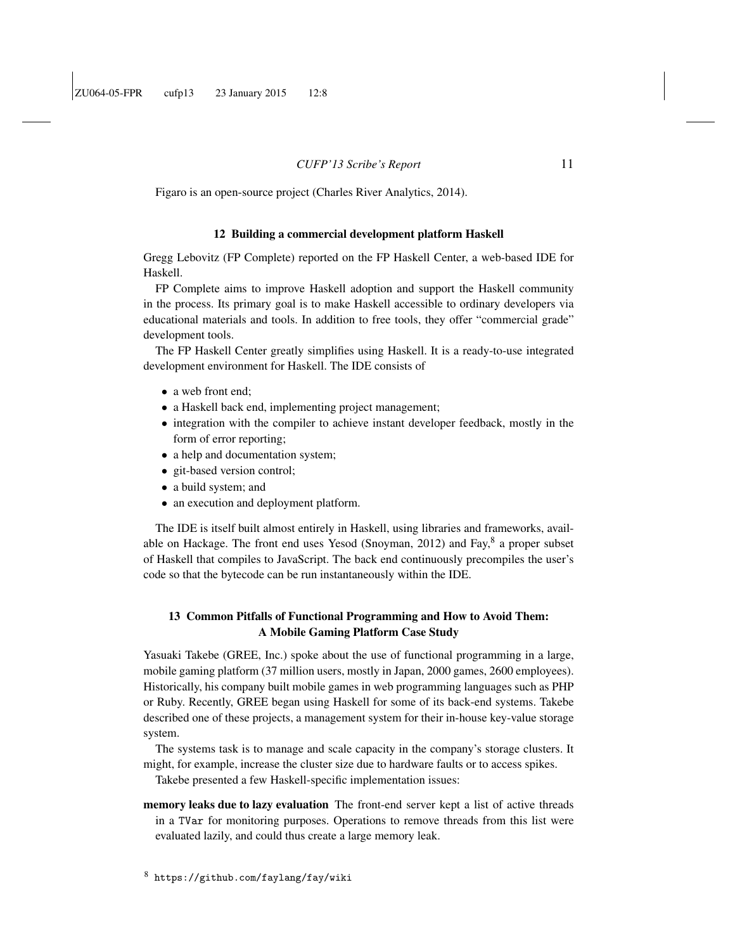Figaro is an open-source project (Charles River Analytics, 2014).

#### 12 Building a commercial development platform Haskell

Gregg Lebovitz (FP Complete) reported on the FP Haskell Center, a web-based IDE for Haskell.

FP Complete aims to improve Haskell adoption and support the Haskell community in the process. Its primary goal is to make Haskell accessible to ordinary developers via educational materials and tools. In addition to free tools, they offer "commercial grade" development tools.

The FP Haskell Center greatly simplifies using Haskell. It is a ready-to-use integrated development environment for Haskell. The IDE consists of

- a web front end;
- a Haskell back end, implementing project management;
- integration with the compiler to achieve instant developer feedback, mostly in the form of error reporting;
- a help and documentation system;
- git-based version control;
- a build system; and
- an execution and deployment platform.

The IDE is itself built almost entirely in Haskell, using libraries and frameworks, available on Hackage. The front end uses Yesod (Snoyman, 2012) and Fay, ${}^{8}$  a proper subset of Haskell that compiles to JavaScript. The back end continuously precompiles the user's code so that the bytecode can be run instantaneously within the IDE.

# 13 Common Pitfalls of Functional Programming and How to Avoid Them: A Mobile Gaming Platform Case Study

Yasuaki Takebe (GREE, Inc.) spoke about the use of functional programming in a large, mobile gaming platform (37 million users, mostly in Japan, 2000 games, 2600 employees). Historically, his company built mobile games in web programming languages such as PHP or Ruby. Recently, GREE began using Haskell for some of its back-end systems. Takebe described one of these projects, a management system for their in-house key-value storage system.

The systems task is to manage and scale capacity in the company's storage clusters. It might, for example, increase the cluster size due to hardware faults or to access spikes.

Takebe presented a few Haskell-specific implementation issues:

memory leaks due to lazy evaluation The front-end server kept a list of active threads in a TVar for monitoring purposes. Operations to remove threads from this list were evaluated lazily, and could thus create a large memory leak.

<sup>8</sup> https://github.com/faylang/fay/wiki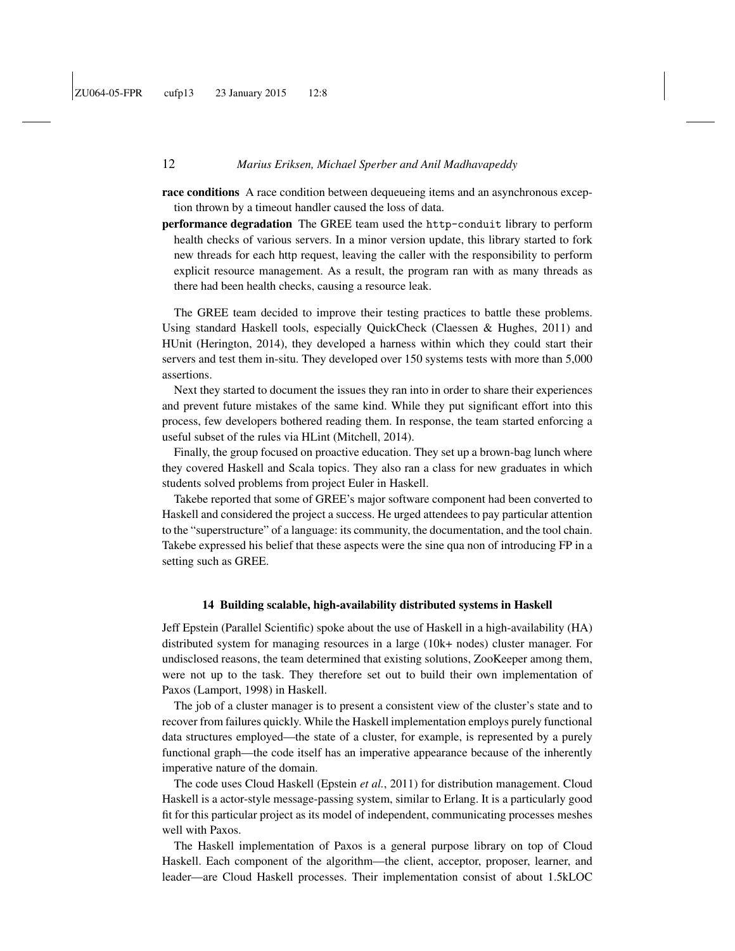race conditions A race condition between dequeueing items and an asynchronous exception thrown by a timeout handler caused the loss of data.

performance degradation The GREE team used the http-conduit library to perform health checks of various servers. In a minor version update, this library started to fork new threads for each http request, leaving the caller with the responsibility to perform explicit resource management. As a result, the program ran with as many threads as there had been health checks, causing a resource leak.

The GREE team decided to improve their testing practices to battle these problems. Using standard Haskell tools, especially QuickCheck (Claessen & Hughes, 2011) and HUnit (Herington, 2014), they developed a harness within which they could start their servers and test them in-situ. They developed over 150 systems tests with more than 5,000 assertions.

Next they started to document the issues they ran into in order to share their experiences and prevent future mistakes of the same kind. While they put significant effort into this process, few developers bothered reading them. In response, the team started enforcing a useful subset of the rules via HLint (Mitchell, 2014).

Finally, the group focused on proactive education. They set up a brown-bag lunch where they covered Haskell and Scala topics. They also ran a class for new graduates in which students solved problems from project Euler in Haskell.

Takebe reported that some of GREE's major software component had been converted to Haskell and considered the project a success. He urged attendees to pay particular attention to the "superstructure" of a language: its community, the documentation, and the tool chain. Takebe expressed his belief that these aspects were the sine qua non of introducing FP in a setting such as GREE.

#### 14 Building scalable, high-availability distributed systems in Haskell

Jeff Epstein (Parallel Scientific) spoke about the use of Haskell in a high-availability (HA) distributed system for managing resources in a large (10k+ nodes) cluster manager. For undisclosed reasons, the team determined that existing solutions, ZooKeeper among them, were not up to the task. They therefore set out to build their own implementation of Paxos (Lamport, 1998) in Haskell.

The job of a cluster manager is to present a consistent view of the cluster's state and to recover from failures quickly. While the Haskell implementation employs purely functional data structures employed—the state of a cluster, for example, is represented by a purely functional graph—the code itself has an imperative appearance because of the inherently imperative nature of the domain.

The code uses Cloud Haskell (Epstein *et al.*, 2011) for distribution management. Cloud Haskell is a actor-style message-passing system, similar to Erlang. It is a particularly good fit for this particular project as its model of independent, communicating processes meshes well with Paxos.

The Haskell implementation of Paxos is a general purpose library on top of Cloud Haskell. Each component of the algorithm—the client, acceptor, proposer, learner, and leader—are Cloud Haskell processes. Their implementation consist of about 1.5kLOC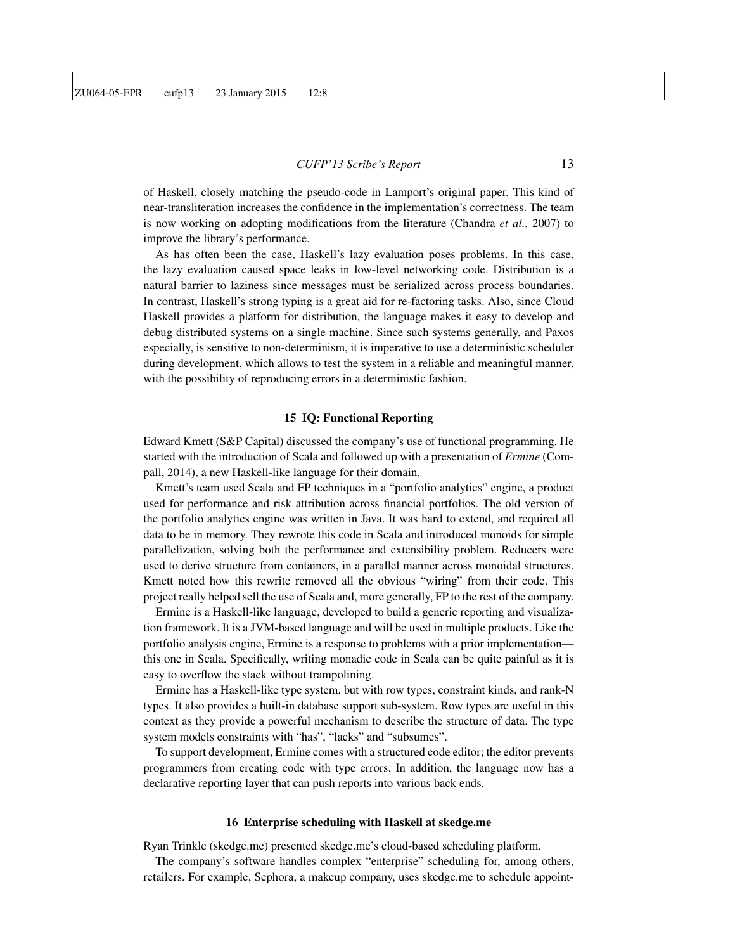of Haskell, closely matching the pseudo-code in Lamport's original paper. This kind of near-transliteration increases the confidence in the implementation's correctness. The team is now working on adopting modifications from the literature (Chandra *et al.*, 2007) to improve the library's performance.

As has often been the case, Haskell's lazy evaluation poses problems. In this case, the lazy evaluation caused space leaks in low-level networking code. Distribution is a natural barrier to laziness since messages must be serialized across process boundaries. In contrast, Haskell's strong typing is a great aid for re-factoring tasks. Also, since Cloud Haskell provides a platform for distribution, the language makes it easy to develop and debug distributed systems on a single machine. Since such systems generally, and Paxos especially, is sensitive to non-determinism, it is imperative to use a deterministic scheduler during development, which allows to test the system in a reliable and meaningful manner, with the possibility of reproducing errors in a deterministic fashion.

## 15 IQ: Functional Reporting

Edward Kmett (S&P Capital) discussed the company's use of functional programming. He started with the introduction of Scala and followed up with a presentation of *Ermine* (Compall, 2014), a new Haskell-like language for their domain.

Kmett's team used Scala and FP techniques in a "portfolio analytics" engine, a product used for performance and risk attribution across financial portfolios. The old version of the portfolio analytics engine was written in Java. It was hard to extend, and required all data to be in memory. They rewrote this code in Scala and introduced monoids for simple parallelization, solving both the performance and extensibility problem. Reducers were used to derive structure from containers, in a parallel manner across monoidal structures. Kmett noted how this rewrite removed all the obvious "wiring" from their code. This project really helped sell the use of Scala and, more generally, FP to the rest of the company.

Ermine is a Haskell-like language, developed to build a generic reporting and visualization framework. It is a JVM-based language and will be used in multiple products. Like the portfolio analysis engine, Ermine is a response to problems with a prior implementation this one in Scala. Specifically, writing monadic code in Scala can be quite painful as it is easy to overflow the stack without trampolining.

Ermine has a Haskell-like type system, but with row types, constraint kinds, and rank-N types. It also provides a built-in database support sub-system. Row types are useful in this context as they provide a powerful mechanism to describe the structure of data. The type system models constraints with "has", "lacks" and "subsumes".

To support development, Ermine comes with a structured code editor; the editor prevents programmers from creating code with type errors. In addition, the language now has a declarative reporting layer that can push reports into various back ends.

#### 16 Enterprise scheduling with Haskell at skedge.me

Ryan Trinkle (skedge.me) presented skedge.me's cloud-based scheduling platform.

The company's software handles complex "enterprise" scheduling for, among others, retailers. For example, Sephora, a makeup company, uses skedge.me to schedule appoint-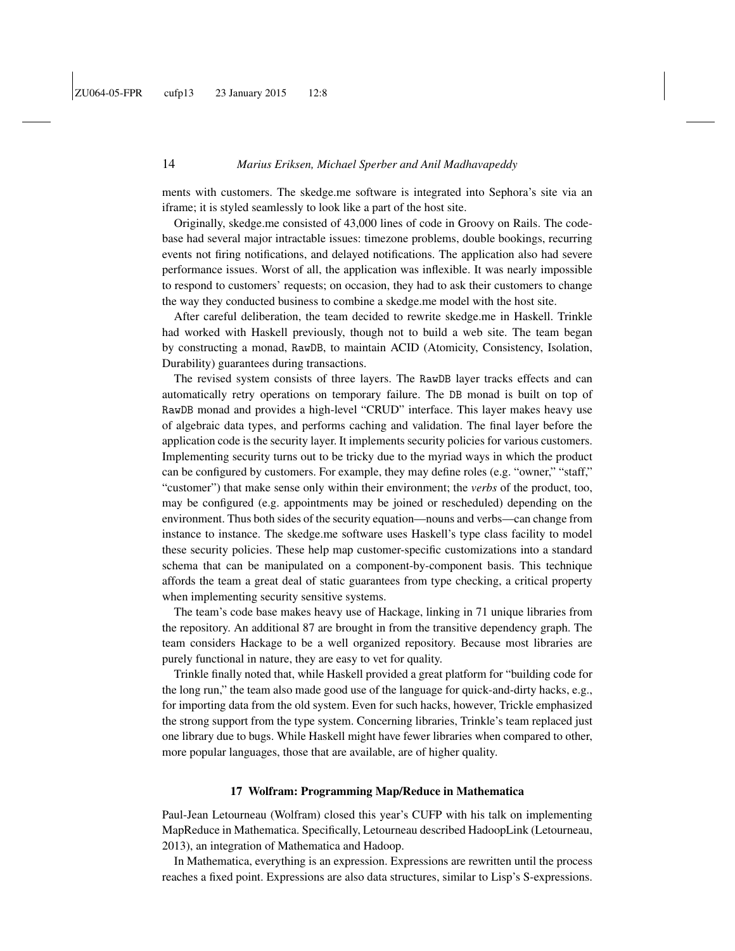ments with customers. The skedge.me software is integrated into Sephora's site via an iframe; it is styled seamlessly to look like a part of the host site.

Originally, skedge.me consisted of 43,000 lines of code in Groovy on Rails. The codebase had several major intractable issues: timezone problems, double bookings, recurring events not firing notifications, and delayed notifications. The application also had severe performance issues. Worst of all, the application was inflexible. It was nearly impossible to respond to customers' requests; on occasion, they had to ask their customers to change the way they conducted business to combine a skedge.me model with the host site.

After careful deliberation, the team decided to rewrite skedge.me in Haskell. Trinkle had worked with Haskell previously, though not to build a web site. The team began by constructing a monad, RawDB, to maintain ACID (Atomicity, Consistency, Isolation, Durability) guarantees during transactions.

The revised system consists of three layers. The RawDB layer tracks effects and can automatically retry operations on temporary failure. The DB monad is built on top of RawDB monad and provides a high-level "CRUD" interface. This layer makes heavy use of algebraic data types, and performs caching and validation. The final layer before the application code is the security layer. It implements security policies for various customers. Implementing security turns out to be tricky due to the myriad ways in which the product can be configured by customers. For example, they may define roles (e.g. "owner," "staff," "customer") that make sense only within their environment; the *verbs* of the product, too, may be configured (e.g. appointments may be joined or rescheduled) depending on the environment. Thus both sides of the security equation—nouns and verbs—can change from instance to instance. The skedge.me software uses Haskell's type class facility to model these security policies. These help map customer-specific customizations into a standard schema that can be manipulated on a component-by-component basis. This technique affords the team a great deal of static guarantees from type checking, a critical property when implementing security sensitive systems.

The team's code base makes heavy use of Hackage, linking in 71 unique libraries from the repository. An additional 87 are brought in from the transitive dependency graph. The team considers Hackage to be a well organized repository. Because most libraries are purely functional in nature, they are easy to vet for quality.

Trinkle finally noted that, while Haskell provided a great platform for "building code for the long run," the team also made good use of the language for quick-and-dirty hacks, e.g., for importing data from the old system. Even for such hacks, however, Trickle emphasized the strong support from the type system. Concerning libraries, Trinkle's team replaced just one library due to bugs. While Haskell might have fewer libraries when compared to other, more popular languages, those that are available, are of higher quality.

#### 17 Wolfram: Programming Map/Reduce in Mathematica

Paul-Jean Letourneau (Wolfram) closed this year's CUFP with his talk on implementing MapReduce in Mathematica. Specifically, Letourneau described HadoopLink (Letourneau, 2013), an integration of Mathematica and Hadoop.

In Mathematica, everything is an expression. Expressions are rewritten until the process reaches a fixed point. Expressions are also data structures, similar to Lisp's S-expressions.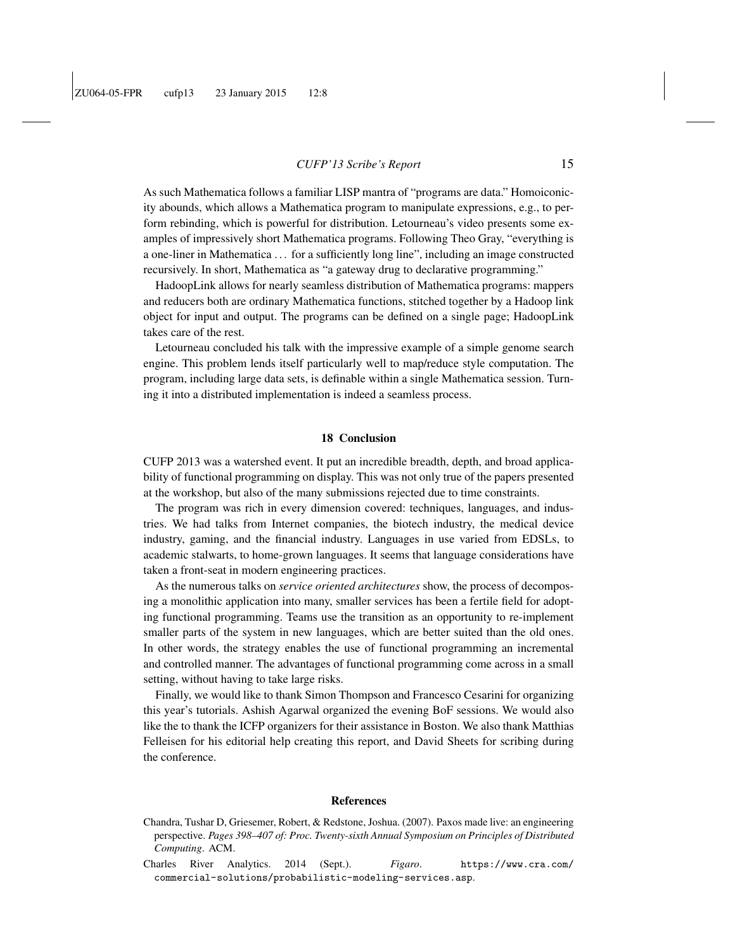As such Mathematica follows a familiar LISP mantra of "programs are data." Homoiconicity abounds, which allows a Mathematica program to manipulate expressions, e.g., to perform rebinding, which is powerful for distribution. Letourneau's video presents some examples of impressively short Mathematica programs. Following Theo Gray, "everything is a one-liner in Mathematica . . . for a sufficiently long line", including an image constructed recursively. In short, Mathematica as "a gateway drug to declarative programming."

HadoopLink allows for nearly seamless distribution of Mathematica programs: mappers and reducers both are ordinary Mathematica functions, stitched together by a Hadoop link object for input and output. The programs can be defined on a single page; HadoopLink takes care of the rest.

Letourneau concluded his talk with the impressive example of a simple genome search engine. This problem lends itself particularly well to map/reduce style computation. The program, including large data sets, is definable within a single Mathematica session. Turning it into a distributed implementation is indeed a seamless process.

## 18 Conclusion

CUFP 2013 was a watershed event. It put an incredible breadth, depth, and broad applicability of functional programming on display. This was not only true of the papers presented at the workshop, but also of the many submissions rejected due to time constraints.

The program was rich in every dimension covered: techniques, languages, and industries. We had talks from Internet companies, the biotech industry, the medical device industry, gaming, and the financial industry. Languages in use varied from EDSLs, to academic stalwarts, to home-grown languages. It seems that language considerations have taken a front-seat in modern engineering practices.

As the numerous talks on *service oriented architectures* show, the process of decomposing a monolithic application into many, smaller services has been a fertile field for adopting functional programming. Teams use the transition as an opportunity to re-implement smaller parts of the system in new languages, which are better suited than the old ones. In other words, the strategy enables the use of functional programming an incremental and controlled manner. The advantages of functional programming come across in a small setting, without having to take large risks.

Finally, we would like to thank Simon Thompson and Francesco Cesarini for organizing this year's tutorials. Ashish Agarwal organized the evening BoF sessions. We would also like the to thank the ICFP organizers for their assistance in Boston. We also thank Matthias Felleisen for his editorial help creating this report, and David Sheets for scribing during the conference.

#### References

- Chandra, Tushar D, Griesemer, Robert, & Redstone, Joshua. (2007). Paxos made live: an engineering perspective. *Pages 398–407 of: Proc. Twenty-sixth Annual Symposium on Principles of Distributed Computing*. ACM.
- Charles River Analytics. 2014 (Sept.). *Figaro*. https://www.cra.com/ commercial-solutions/probabilistic-modeling-services.asp.